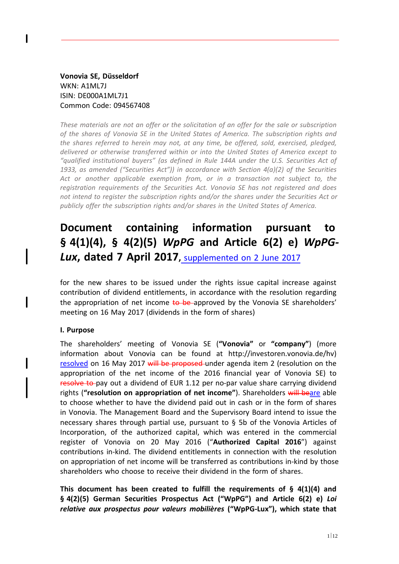**Vonovia SE, Düsseldorf** WKN: A1ML7J ISIN: DE000A1ML7J1 Common Code: 094567408

*These materials are not an offer or the solicitation of an offer for the sale or subscription of the shares of Vonovia SE in the United States of America. The subscription rights and the shares referred to herein may not, at any time, be offered, sold, exercised, pledged, delivered or otherwise transferred within or into the United States of America except to "qualified institutional buyers" (as defined in Rule 144A under the U.S. Securities Act of 1933, as amended ("Securities Act")) in accordance with Section 4(a)(2) of the Securities Act or another applicable exemption from, or in a transaction not subject to, the registration requirements of the Securities Act. Vonovia SE has not registered and does not intend to register the subscription rights and/or the shares under the Securities Act or publicly offer the subscription rights and/or shares in the United States of America.*

# **Document containing information pursuant to § 4(1)(4), § 4(2)(5)** *WpPG* **and Article 6(2) e)** *WpPG-Lux***, dated 7 April 2017,** supplemented on 2 June 2017

for the new shares to be issued under the rights issue capital increase against contribution of dividend entitlements, in accordance with the resolution regarding the appropriation of net income to be approved by the Vonovia SE shareholders' meeting on 16 May 2017 (dividends in the form of shares)

#### **I. Purpose**

The shareholders' meeting of Vonovia SE (**"Vonovia"** or **"company"**) (more information about Vonovia can be found at http://investoren.vonovia.de/hv) resolved on 16 May 2017 will be proposed under agenda item 2 (resolution on the appropriation of the net income of the 2016 financial year of Vonovia SE) to resolve to pay out a dividend of EUR 1.12 per no-par value share carrying dividend rights (**"resolution on appropriation of net income"**). Shareholders will beare able to choose whether to have the dividend paid out in cash or in the form of shares in Vonovia. The Management Board and the Supervisory Board intend to issue the necessary shares through partial use, pursuant to § 5b of the Vonovia Articles of Incorporation, of the authorized capital, which was entered in the commercial register of Vonovia on 20 May 2016 ("**Authorized Capital 2016**") against contributions in-kind. The dividend entitlements in connection with the resolution on appropriation of net income will be transferred as contributions in-kind by those shareholders who choose to receive their dividend in the form of shares.

**This document has been created to fulfill the requirements of § 4(1)(4) and § 4(2)(5) German Securities Prospectus Act ("WpPG") and Article 6(2) e)** *Loi relative aux prospectus pour valeurs mobilières* **("WpPG-Lux"), which state that**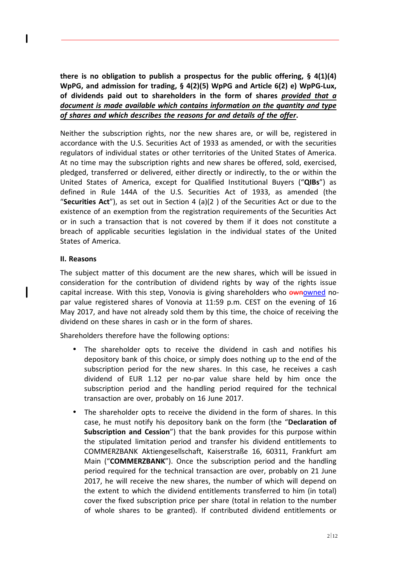**there is no obligation to publish a prospectus for the public offering, § 4(1)(4) WpPG, and admission for trading, § 4(2)(5) WpPG and Article 6(2) e) WpPG-Lux, of dividends paid out to shareholders in the form of shares** *provided that a document is made available which contains information on the quantity and type of shares and which describes the reasons for and details of the offer***.**

Neither the subscription rights, nor the new shares are, or will be, registered in accordance with the U.S. Securities Act of 1933 as amended, or with the securities regulators of individual states or other territories of the United States of America. At no time may the subscription rights and new shares be offered, sold, exercised, pledged, transferred or delivered, either directly or indirectly, to the or within the United States of America, except for Qualified Institutional Buyers ("**QIBs**") as defined in Rule 144A of the U.S. Securities Act of 1933, as amended (the "**Securities Act**"), as set out in Section 4 (a)(2 ) of the Securities Act or due to the existence of an exemption from the registration requirements of the Securities Act or in such a transaction that is not covered by them if it does not constitute a breach of applicable securities legislation in the individual states of the United States of America.

# **II. Reasons**

ı

The subject matter of this document are the new shares, which will be issued in consideration for the contribution of dividend rights by way of the rights issue capital increase. With this step, Vonovia is giving shareholders who ownowned nopar value registered shares of Vonovia at 11:59 p.m. CEST on the evening of 16 May 2017, and have not already sold them by this time, the choice of receiving the dividend on these shares in cash or in the form of shares.

Shareholders therefore have the following options:

- The shareholder opts to receive the dividend in cash and notifies his depository bank of this choice, or simply does nothing up to the end of the subscription period for the new shares. In this case, he receives a cash dividend of EUR 1.12 per no-par value share held by him once the subscription period and the handling period required for the technical transaction are over, probably on 16 June 2017.
- The shareholder opts to receive the dividend in the form of shares. In this case, he must notify his depository bank on the form (the "**Declaration of Subscription and Cession**") that the bank provides for this purpose within the stipulated limitation period and transfer his dividend entitlements to COMMERZBANK Aktiengesellschaft, Kaiserstraße 16, 60311, Frankfurt am Main ("**COMMERZBANK**"). Once the subscription period and the handling period required for the technical transaction are over, probably on 21 June 2017, he will receive the new shares, the number of which will depend on the extent to which the dividend entitlements transferred to him (in total) cover the fixed subscription price per share (total in relation to the number of whole shares to be granted). If contributed dividend entitlements or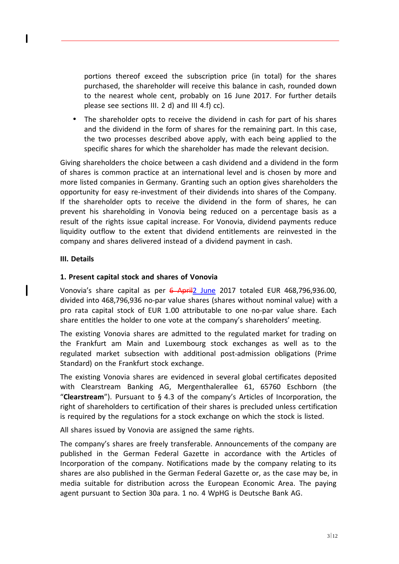portions thereof exceed the subscription price (in total) for the shares purchased, the shareholder will receive this balance in cash, rounded down to the nearest whole cent, probably on 16 June 2017. For further details please see sections III. 2 d) and III 4.f) cc).

• The shareholder opts to receive the dividend in cash for part of his shares and the dividend in the form of shares for the remaining part. In this case, the two processes described above apply, with each being applied to the specific shares for which the shareholder has made the relevant decision.

Giving shareholders the choice between a cash dividend and a dividend in the form of shares is common practice at an international level and is chosen by more and more listed companies in Germany. Granting such an option gives shareholders the opportunity for easy re-investment of their dividends into shares of the Company. If the shareholder opts to receive the dividend in the form of shares, he can prevent his shareholding in Vonovia being reduced on a percentage basis as a result of the rights issue capital increase. For Vonovia, dividend payments reduce liquidity outflow to the extent that dividend entitlements are reinvested in the company and shares delivered instead of a dividend payment in cash.

# **III. Details**

## **1. Present capital stock and shares of Vonovia**

Vonovia's share capital as per 6 April2 June 2017 totaled EUR 468,796,936.00, divided into 468,796,936 no-par value shares (shares without nominal value) with a pro rata capital stock of EUR 1.00 attributable to one no-par value share. Each share entitles the holder to one vote at the company's shareholders' meeting.

The existing Vonovia shares are admitted to the regulated market for trading on the Frankfurt am Main and Luxembourg stock exchanges as well as to the regulated market subsection with additional post-admission obligations (Prime Standard) on the Frankfurt stock exchange.

The existing Vonovia shares are evidenced in several global certificates deposited with Clearstream Banking AG, Mergenthalerallee 61, 65760 Eschborn (the "**Clearstream**"). Pursuant to § 4.3 of the company's Articles of Incorporation, the right of shareholders to certification of their shares is precluded unless certification is required by the regulations for a stock exchange on which the stock is listed.

All shares issued by Vonovia are assigned the same rights.

The company's shares are freely transferable. Announcements of the company are published in the German Federal Gazette in accordance with the Articles of Incorporation of the company. Notifications made by the company relating to its shares are also published in the German Federal Gazette or, as the case may be, in media suitable for distribution across the European Economic Area. The paying agent pursuant to Section 30a para. 1 no. 4 WpHG is Deutsche Bank AG.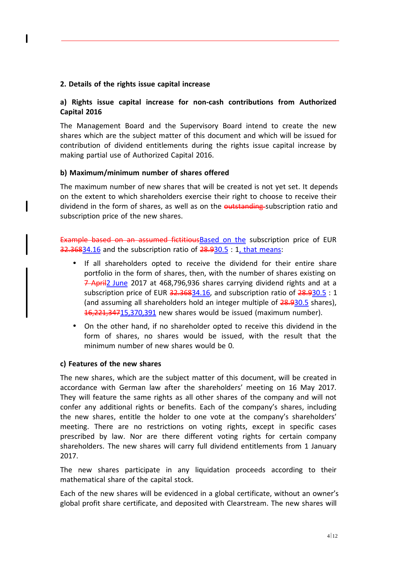# **2. Details of the rights issue capital increase**

# **a) Rights issue capital increase for non-cash contributions from Authorized Capital 2016**

The Management Board and the Supervisory Board intend to create the new shares which are the subject matter of this document and which will be issued for contribution of dividend entitlements during the rights issue capital increase by making partial use of Authorized Capital 2016.

## **b) Maximum/minimum number of shares offered**

The maximum number of new shares that will be created is not yet set. It depends on the extent to which shareholders exercise their right to choose to receive their dividend in the form of shares, as well as on the outstanding subscription ratio and subscription price of the new shares.

Example based on an assumed fictitiousBased on the subscription price of EUR 32.36834.16 and the subscription ratio of 28.930.5 : 1, that means:

- If all shareholders opted to receive the dividend for their entire share portfolio in the form of shares, then, with the number of shares existing on 7 April2 June 2017 at 468,796,936 shares carrying dividend rights and at a subscription price of EUR  $32.36834.16$ , and subscription ratio of  $28.930.5:1$ (and assuming all shareholders hold an integer multiple of 28.930.5 shares), 16,221,34715,370,391 new shares would be issued (maximum number).
- On the other hand, if no shareholder opted to receive this dividend in the form of shares, no shares would be issued, with the result that the minimum number of new shares would be 0.

#### **c) Features of the new shares**

The new shares, which are the subject matter of this document, will be created in accordance with German law after the shareholders' meeting on 16 May 2017. They will feature the same rights as all other shares of the company and will not confer any additional rights or benefits. Each of the company's shares, including the new shares, entitle the holder to one vote at the company's shareholders' meeting. There are no restrictions on voting rights, except in specific cases prescribed by law. Nor are there different voting rights for certain company shareholders. The new shares will carry full dividend entitlements from 1 January 2017.

The new shares participate in any liquidation proceeds according to their mathematical share of the capital stock.

Each of the new shares will be evidenced in a global certificate, without an owner's global profit share certificate, and deposited with Clearstream. The new shares will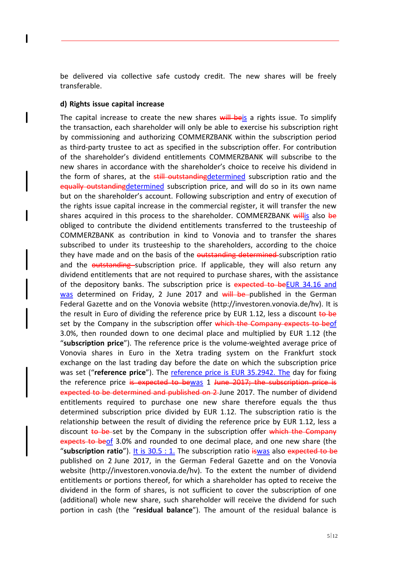be delivered via collective safe custody credit. The new shares will be freely transferable.

#### **d) Rights issue capital increase**

The capital increase to create the new shares will beis a rights issue. To simplify the transaction, each shareholder will only be able to exercise his subscription right by commissioning and authorizing COMMERZBANK within the subscription period as third-party trustee to act as specified in the subscription offer. For contribution of the shareholder's dividend entitlements COMMERZBANK will subscribe to the new shares in accordance with the shareholder's choice to receive his dividend in the form of shares, at the still outstanding determined subscription ratio and the equally outstandingdetermined subscription price, and will do so in its own name but on the shareholder's account. Following subscription and entry of execution of the rights issue capital increase in the commercial register, it will transfer the new shares acquired in this process to the shareholder. COMMERZBANK willis also be obliged to contribute the dividend entitlements transferred to the trusteeship of COMMERZBANK as contribution in kind to Vonovia and to transfer the shares subscribed to under its trusteeship to the shareholders, according to the choice they have made and on the basis of the outstanding determined subscription ratio and the outstanding subscription price. If applicable, they will also return any dividend entitlements that are not required to purchase shares, with the assistance of the depository banks. The subscription price is expected to beEUR 34.16 and was determined on Friday, 2 June 2017 and will be published in the German Federal Gazette and on the Vonovia website (http://investoren.vonovia.de/hv). It is the result in Euro of dividing the reference price by EUR 1.12, less a discount to be set by the Company in the subscription offer which the Company expects to beof 3.0%, then rounded down to one decimal place and multiplied by EUR 1.12 (the "**subscription price**"). The reference price is the volume-weighted average price of Vonovia shares in Euro in the Xetra trading system on the Frankfurt stock exchange on the last trading day before the date on which the subscription price was set ("**reference price**"). The reference price is EUR 35.2942. The day for fixing the reference price is expected to bewas 1 June 2017; the subscription price is expected to be determined and published on 2-June 2017. The number of dividend entitlements required to purchase one new share therefore equals the thus determined subscription price divided by EUR 1.12. The subscription ratio is the relationship between the result of dividing the reference price by EUR 1.12, less a discount to be set by the Company in the subscription offer which the Company expects to beof 3.0% and rounded to one decimal place, and one new share (the "subscription ratio"). It is 30.5 : 1. The subscription ratio iswas also expected to be published on 2 June 2017, in the German Federal Gazette and on the Vonovia website (http://investoren.vonovia.de/hv). To the extent the number of dividend entitlements or portions thereof, for which a shareholder has opted to receive the dividend in the form of shares, is not sufficient to cover the subscription of one (additional) whole new share, such shareholder will receive the dividend for such portion in cash (the "**residual balance**"). The amount of the residual balance is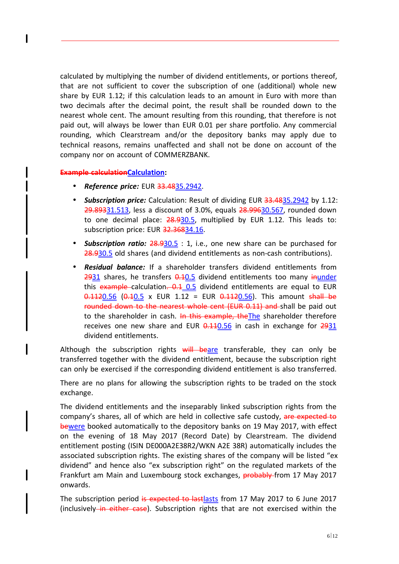calculated by multiplying the number of dividend entitlements, or portions thereof, that are not sufficient to cover the subscription of one (additional) whole new share by EUR 1.12; if this calculation leads to an amount in Euro with more than two decimals after the decimal point, the result shall be rounded down to the nearest whole cent. The amount resulting from this rounding, that therefore is not paid out, will always be lower than EUR 0.01 per share portfolio. Any commercial rounding, which Clearstream and/or the depository banks may apply due to technical reasons, remains unaffected and shall not be done on account of the company nor on account of COMMERZBANK.

#### **Example calculationCalculation:**

- *Reference price:* EUR 33.4835.2942.
- *Subscription price:* Calculation: Result of dividing EUR 33.4835.2942 by 1.12: 29.89331.513, less a discount of 3.0%, equals 28.99630.567, rounded down to one decimal place: 28.930.5, multiplied by EUR 1.12. This leads to: subscription price: EUR 32.36834.16.
- *Subscription ratio:* 28.930.5 : 1, i.e., one new share can be purchased for 28.930.5 old shares (and dividend entitlements as non-cash contributions).
- *Residual balance:* If a shareholder transfers dividend entitlements from  $2931$  shares, he transfers  $0.105$  dividend entitlements too many inunder this  $\frac{1}{2}$  example calculation.  $\frac{0.1}{0.5}$  dividend entitlements are equal to EUR  $0.1120.56$   $(0.10.5 \times 10^{10} \text{ N})$  = EUR  $0.1120.56$ ). This amount shall be rounded down to the nearest whole cent (EUR 0.11) and shall be paid out to the shareholder in cash. In this example, the The shareholder therefore receives one new share and EUR  $0.110.56$  in cash in exchange for  $2931$ dividend entitlements.

Although the subscription rights  $\frac{1}{2}$  will beare transferable, they can only be transferred together with the dividend entitlement, because the subscription right can only be exercised if the corresponding dividend entitlement is also transferred.

There are no plans for allowing the subscription rights to be traded on the stock exchange.

The dividend entitlements and the inseparably linked subscription rights from the company's shares, all of which are held in collective safe custody, are expected to bewere booked automatically to the depository banks on 19 May 2017, with effect on the evening of 18 May 2017 (Record Date) by Clearstream. The dividend entitlement posting (ISIN DE000A2E38R2/WKN A2E 38R) automatically includes the associated subscription rights. The existing shares of the company will be listed "ex dividend" and hence also "ex subscription right" on the regulated markets of the Frankfurt am Main and Luxembourg stock exchanges, **probably** from 17 May 2017 onwards.

The subscription period is expected to last lasts from 17 May 2017 to 6 June 2017 (inclusively in either case). Subscription rights that are not exercised within the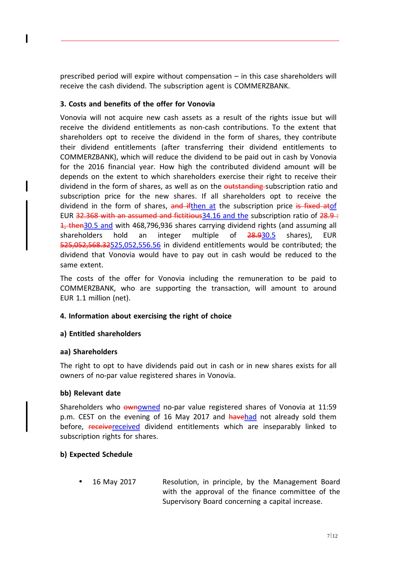prescribed period will expire without compensation – in this case shareholders will receive the cash dividend. The subscription agent is COMMERZBANK.

# **3. Costs and benefits of the offer for Vonovia**

Vonovia will not acquire new cash assets as a result of the rights issue but will receive the dividend entitlements as non-cash contributions. To the extent that shareholders opt to receive the dividend in the form of shares, they contribute their dividend entitlements (after transferring their dividend entitlements to COMMERZBANK), which will reduce the dividend to be paid out in cash by Vonovia for the 2016 financial year. How high the contributed dividend amount will be depends on the extent to which shareholders exercise their right to receive their dividend in the form of shares, as well as on the outstanding subscription ratio and subscription price for the new shares. If all shareholders opt to receive the dividend in the form of shares, and ifthen at the subscription price is fixed atof EUR  $32.368$  with an assumed and fictitious 34.16 and the subscription ratio of  $28.9 \div$ 1, then30.5 and with 468,796,936 shares carrying dividend rights (and assuming all shareholders hold an integer multiple of 28.930.5 shares), EUR 525,052,568.32525,052,556.56 in dividend entitlements would be contributed; the dividend that Vonovia would have to pay out in cash would be reduced to the same extent.

The costs of the offer for Vonovia including the remuneration to be paid to COMMERZBANK, who are supporting the transaction, will amount to around EUR 1.1 million (net).

# **4. Information about exercising the right of choice**

# **a) Entitled shareholders**

# **aa) Shareholders**

The right to opt to have dividends paid out in cash or in new shares exists for all owners of no-par value registered shares in Vonovia.

# **bb) Relevant date**

Shareholders who ownowned no-par value registered shares of Vonovia at 11:59 p.m. CEST on the evening of 16 May 2017 and havehad not already sold them before, receivereceived dividend entitlements which are inseparably linked to subscription rights for shares.

# **b) Expected Schedule**

• 16 May 2017 Resolution, in principle, by the Management Board with the approval of the finance committee of the Supervisory Board concerning a capital increase.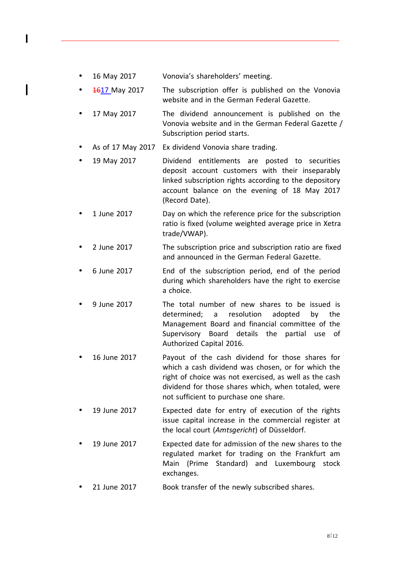- 16 May 2017 Vonovia's shareholders' meeting.
- **4617** May 2017 The subscription offer is published on the Vonovia website and in the German Federal Gazette.
- 17 May 2017 The dividend announcement is published on the Vonovia website and in the German Federal Gazette / Subscription period starts.
- As of 17 May 2017 Ex dividend Vonovia share trading.
- 19 May 2017 Dividend entitlements are posted to securities deposit account customers with their inseparably linked subscription rights according to the depository account balance on the evening of 18 May 2017 (Record Date).
- 1 June 2017 Day on which the reference price for the subscription ratio is fixed (volume weighted average price in Xetra trade/VWAP).
- 2 June 2017 The subscription price and subscription ratio are fixed and announced in the German Federal Gazette.
- 6 June 2017 End of the subscription period, end of the period during which shareholders have the right to exercise a choice.
- 9 June 2017 The total number of new shares to be issued is determined; a resolution adopted by the Management Board and financial committee of the Supervisory Board details the partial use of Authorized Capital 2016.
- 16 June 2017 Payout of the cash dividend for those shares for which a cash dividend was chosen, or for which the right of choice was not exercised, as well as the cash dividend for those shares which, when totaled, were not sufficient to purchase one share.
- 19 June 2017 Expected date for entry of execution of the rights issue capital increase in the commercial register at the local court (*Amtsgericht*) of Düsseldorf.
- 19 June 2017 Expected date for admission of the new shares to the regulated market for trading on the Frankfurt am Main (Prime Standard) and Luxembourg stock exchanges.
- 21 June 2017 Book transfer of the newly subscribed shares.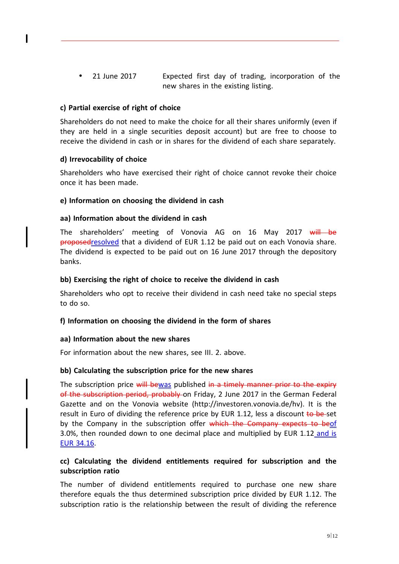• 21 June 2017 Expected first day of trading, incorporation of the new shares in the existing listing.

# **c) Partial exercise of right of choice**

Shareholders do not need to make the choice for all their shares uniformly (even if they are held in a single securities deposit account) but are free to choose to receive the dividend in cash or in shares for the dividend of each share separately.

## **d) Irrevocability of choice**

Shareholders who have exercised their right of choice cannot revoke their choice once it has been made.

#### **e) Information on choosing the dividend in cash**

#### **aa) Information about the dividend in cash**

The shareholders' meeting of Vonovia AG on 16 May 2017 will be proposedresolved that a dividend of EUR 1.12 be paid out on each Vonovia share. The dividend is expected to be paid out on 16 June 2017 through the depository banks.

#### **bb) Exercising the right of choice to receive the dividend in cash**

Shareholders who opt to receive their dividend in cash need take no special steps to do so.

#### **f) Information on choosing the dividend in the form of shares**

#### **aa) Information about the new shares**

For information about the new shares, see III. 2. above.

#### **bb) Calculating the subscription price for the new shares**

The subscription price will bewas published in a timely manner prior to the expiry of the subscription period, probably on Friday, 2 June 2017 in the German Federal Gazette and on the Vonovia website (http://investoren.vonovia.de/hv). It is the result in Euro of dividing the reference price by EUR 1.12, less a discount  $\frac{1}{6}$  be-set by the Company in the subscription offer which the Company expects to beof 3.0%, then rounded down to one decimal place and multiplied by EUR 1.12 and is EUR 34.16.

# **cc) Calculating the dividend entitlements required for subscription and the subscription ratio**

The number of dividend entitlements required to purchase one new share therefore equals the thus determined subscription price divided by EUR 1.12. The subscription ratio is the relationship between the result of dividing the reference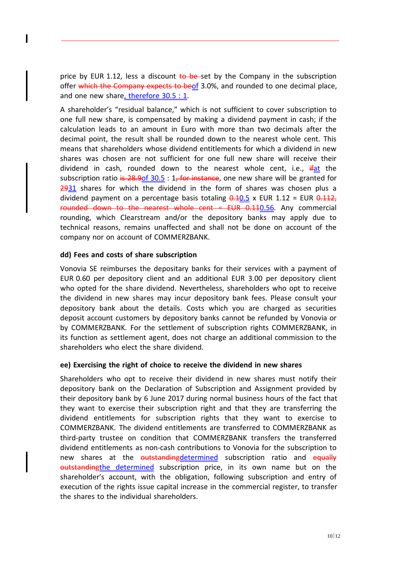price by EUR 1.12, less a discount  $\frac{1}{6}$  be-set by the Company in the subscription offer which the Company expects to be of 3.0%, and rounded to one decimal place. and one new share, therefore 30.5 : 1.

A shareholder's "residual balance," which is not sufficient to cover subscription to one full new share, is compensated by making a dividend payment in cash; if the calculation leads to an amount in Euro with more than two decimals after the decimal point, the result shall be rounded down to the nearest whole cent. This means that shareholders whose dividend entitlements for which a dividend in new shares was chosen are not sufficient for one full new share will receive their dividend in cash, rounded down to the nearest whole cent, i.e.,  $\frac{d}{dx}$  the subscription ratio is 28.9of  $30.5 : 1$ , for instance, one new share will be granted for 2931 shares for which the dividend in the form of shares was chosen plus a dividend payment on a percentage basis totaling  $0.105 \times 100R$  1.12 = EUR  $0.112$ , rounded down to the nearest whole cent = EUR 0.110.56. Any commercial rounding, which Clearstream and/or the depository banks may apply due to technical reasons, remains unaffected and shall not be done on account of the company nor on account of COMMERZBANK.

## **dd) Fees and costs of share subscription**

Vonovia SE reimburses the depositary banks for their services with a payment of EUR 0.60 per depository client and an additional EUR 3.00 per depository client who opted for the share dividend. Nevertheless, shareholders who opt to receive the dividend in new shares may incur depository bank fees. Please consult your depository bank about the details. Costs which you are charged as securities deposit account customers by depository banks cannot be refunded by Vonovia or by COMMERZBANK. For the settlement of subscription rights COMMERZBANK, in its function as settlement agent, does not charge an additional commission to the shareholders who elect the share dividend.

#### **ee) Exercising the right of choice to receive the dividend in new shares**

Shareholders who opt to receive their dividend in new shares must notify their depository bank on the Declaration of Subscription and Assignment provided by their depository bank by 6 June 2017 during normal business hours of the fact that they want to exercise their subscription right and that they are transferring the dividend entitlements for subscription rights that they want to exercise to COMMERZBANK. The dividend entitlements are transferred to COMMERZBANK as third-party trustee on condition that COMMERZBANK transfers the transferred dividend entitlements as non-cash contributions to Vonovia for the subscription to new shares at the outstanding determined subscription ratio and equally outstandingthe determined subscription price, in its own name but on the shareholder's account, with the obligation, following subscription and entry of execution of the rights issue capital increase in the commercial register, to transfer the shares to the individual shareholders.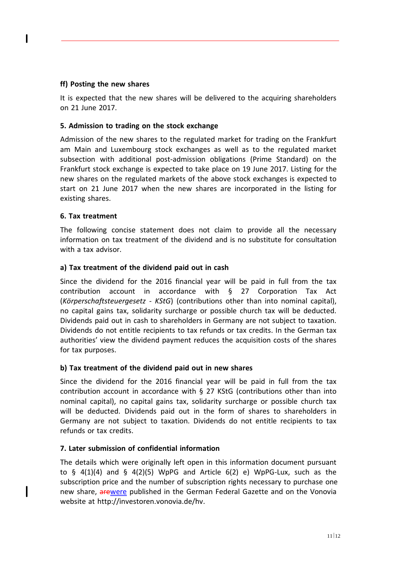# **ff) Posting the new shares**

It is expected that the new shares will be delivered to the acquiring shareholders on 21 June 2017.

# **5. Admission to trading on the stock exchange**

Admission of the new shares to the regulated market for trading on the Frankfurt am Main and Luxembourg stock exchanges as well as to the regulated market subsection with additional post-admission obligations (Prime Standard) on the Frankfurt stock exchange is expected to take place on 19 June 2017. Listing for the new shares on the regulated markets of the above stock exchanges is expected to start on 21 June 2017 when the new shares are incorporated in the listing for existing shares.

# **6. Tax treatment**

The following concise statement does not claim to provide all the necessary information on tax treatment of the dividend and is no substitute for consultation with a tax advisor.

# **a) Tax treatment of the dividend paid out in cash**

Since the dividend for the 2016 financial year will be paid in full from the tax contribution account in accordance with § 27 Corporation Tax Act (*Körperschaftsteuergesetz - KStG*) (contributions other than into nominal capital), no capital gains tax, solidarity surcharge or possible church tax will be deducted. Dividends paid out in cash to shareholders in Germany are not subject to taxation. Dividends do not entitle recipients to tax refunds or tax credits. In the German tax authorities' view the dividend payment reduces the acquisition costs of the shares for tax purposes.

# **b) Tax treatment of the dividend paid out in new shares**

Since the dividend for the 2016 financial year will be paid in full from the tax contribution account in accordance with § 27 KStG (contributions other than into nominal capital), no capital gains tax, solidarity surcharge or possible church tax will be deducted. Dividends paid out in the form of shares to shareholders in Germany are not subject to taxation. Dividends do not entitle recipients to tax refunds or tax credits.

# **7. Later submission of confidential information**

The details which were originally left open in this information document pursuant to  $\frac{1}{2}$  4(1)(4) and  $\frac{1}{2}$  4(2)(5) WpPG and Article 6(2) e) WpPG-Lux, such as the subscription price and the number of subscription rights necessary to purchase one new share, arewere published in the German Federal Gazette and on the Vonovia website at http://investoren.vonovia.de/hv.